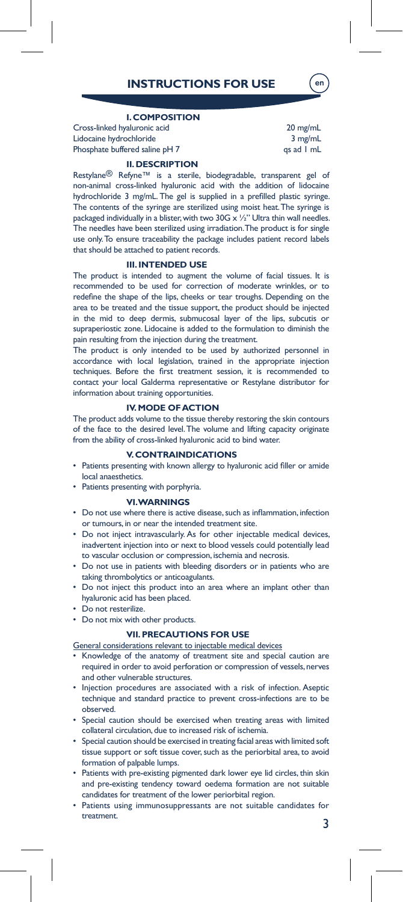# **INSTRUCTIONS FOR USE**

# **I. COMPOSITION**

Cross-linked hyaluronic acid 20 mg/mL Lidocaine hydrochloride 3 mg/mL Phosphate buffered saline pH 7 qs ad 1 mL

en

#### **II. DESCRIPTION**

Restylane® Refyne™ is a sterile, biodegradable, transparent gel of non-animal cross-linked hyaluronic acid with the addition of lidocaine hydrochloride 3 mg/mL. The gel is supplied in a prefilled plastic syringe. The contents of the syringe are sterilized using moist heat. The syringe is packaged individually in a blister, with two 30G  $\times$  1/2" Ultra thin wall needles. The needles have been sterilized using irradiation. The product is for single use only. To ensure traceability the package includes patient record labels that should be attached to patient records.

## **III. INTENDED USE**

The product is intended to augment the volume of facial tissues. It is recommended to be used for correction of moderate wrinkles, or to redefine the shape of the lips, cheeks or tear troughs. Depending on the area to be treated and the tissue support, the product should be injected in the mid to deep dermis, submucosal layer of the lips, subcutis or supraperiostic zone. Lidocaine is added to the formulation to diminish the pain resulting from the injection during the treatment.

The product is only intended to be used by authorized personnel in accordance with local legislation, trained in the appropriate injection techniques. Before the first treatment session, it is recommended to contact your local Galderma representative or Restylane distributor for information about training opportunities.

## **IV. MODE OF ACTION**

The product adds volume to the tissue thereby restoring the skin contours of the face to the desired level. The volume and lifting capacity originate from the ability of cross-linked hyaluronic acid to bind water.

# **V. CONTRAINDICATIONS**

• Patients presenting with known allergy to hyaluronic acid filler or amide local anaesthetics.

# Patients presenting with porphyria.

#### **VI. WARNINGS**

- Do not use where there is active disease, such as inflammation, infection or tumours, in or near the intended treatment site.
- Do not inject intravascularly. As for other injectable medical devices, inadvertent injection into or next to blood vessels could potentially lead to vascular occlusion or compression, ischemia and necrosis.
- Do not use in patients with bleeding disorders or in patients who are taking thrombolytics or anticoagulants.
- Do not inject this product into an area where an implant other than hyaluronic acid has been placed.
- Do not resterilize.
- Do not mix with other products.

# **VII. PRECAUTIONS FOR USE**

- General considerations relevant to injectable medical devices Knowledge of the anatomy of treatment site and special caution are
- required in order to avoid perforation or compression of vessels, nerves and other vulnerable structures.
- Injection procedures are associated with a risk of infection. Aseptic technique and standard practice to prevent cross-infections are to be observed.
- Special caution should be exercised when treating areas with limited collateral circulation, due to increased risk of ischemia.
- Special caution should be exercised in treating facial areas with limited soft tissue support or soft tissue cover, such as the periorbital area, to avoid formation of palpable lumps.
- Patients with pre-existing pigmented dark lower eye lid circles, thin skin and pre-existing tendency toward oedema formation are not suitable candidates for treatment of the lower periorbital region.
- Patients using immunosuppressants are not suitable candidates for treatment.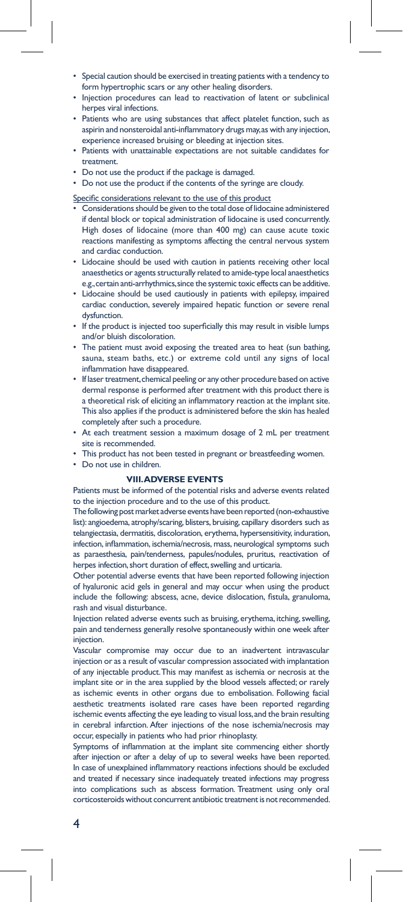- Special caution should be exercised in treating patients with a tendency to form hypertrophic scars or any other healing disorders.
- Injection procedures can lead to reactivation of latent or subclinical herpes viral infections.
- Patients who are using substances that affect platelet function, such as aspirin and nonsteroidal anti-inflammatory drugs may,as with any injection, experience increased bruising or bleeding at injection sites.
- Patients with unattainable expectations are not suitable candidates for treatment.
- Do not use the product if the package is damaged.
- Do not use the product if the contents of the syringe are cloudy.

Specific considerations relevant to the use of this product

- Considerations should be given to the total dose of lidocaine administered if dental block or topical administration of lidocaine is used concurrently. High doses of lidocaine (more than 400 mg) can cause acute toxic reactions manifesting as symptoms affecting the central nervous system and cardiac conduction.
- Lidocaine should be used with caution in patients receiving other local anaesthetics or agents structurally related to amide-type local anaesthetics e.g., certain anti-arrhythmics, since the systemic toxic effects can be additive.
- Lidocaine should be used cautiously in patients with epilepsy, impaired cardiac conduction, severely impaired hepatic function or severe renal dysfunction.
- If the product is injected too superficially this may result in visible lumps and/or bluish discoloration.
- The patient must avoid exposing the treated area to heat (sun bathing, sauna, steam baths, etc.) or extreme cold until any signs of local inflammation have disappeared.
- If laser treatment, chemical peeling or any other procedure based on active dermal response is performed after treatment with this product there is a theoretical risk of eliciting an inflammatory reaction at the implant site. This also applies if the product is administered before the skin has healed completely after such a procedure.
- At each treatment session a maximum dosage of 2 mL per treatment site is recommended.
- This product has not been tested in pregnant or breastfeeding women.
- Do not use in children.

# **VIII. ADVERSE EVENTS**

Patients must be informed of the potential risks and adverse events related to the injection procedure and to the use of this product.

The following post market adverse events have been reported (non-exhaustive list): angioedema, atrophy/scaring, blisters, bruising, capillary disorders such as telangiectasia, dermatitis, discoloration, erythema, hypersensitivity, induration, infection, inflammation, ischemia/necrosis, mass, neurological symptoms such as paraesthesia, pain/tenderness, papules/nodules, pruritus, reactivation of herpes infection, short duration of effect, swelling and urticaria.

Other potential adverse events that have been reported following injection of hyaluronic acid gels in general and may occur when using the product include the following: abscess, acne, device dislocation, fistula, granuloma, rash and visual disturbance.

Injection related adverse events such as bruising, erythema, itching, swelling, pain and tenderness generally resolve spontaneously within one week after injection.

Vascular compromise may occur due to an inadvertent intravascular injection or as a result of vascular compression associated with implantation of any injectable product. This may manifest as ischemia or necrosis at the implant site or in the area supplied by the blood vessels affected; or rarely as ischemic events in other organs due to embolisation. Following facial aesthetic treatments isolated rare cases have been reported regarding ischemic events affecting the eye leading to visual loss, and the brain resulting in cerebral infarction. After injections of the nose ischemia/necrosis may occur, especially in patients who had prior rhinoplasty.

Symptoms of inflammation at the implant site commencing either shortly after injection or after a delay of up to several weeks have been reported. In case of unexplained inflammatory reactions infections should be excluded and treated if necessary since inadequately treated infections may progress into complications such as abscess formation. Treatment using only oral corticosteroids without concurrent antibiotic treatment is not recommended.